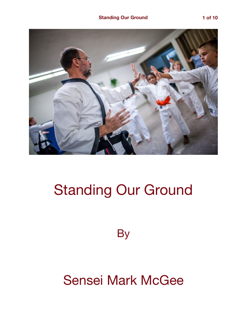

## Standing Our Ground

**By** 

## Sensei Mark McGee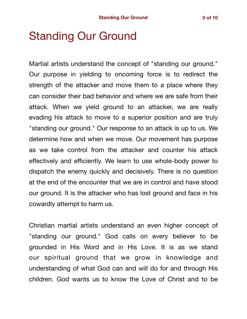## Standing Our Ground

Martial artists understand the concept of "standing our ground." Our purpose in yielding to oncoming force is to redirect the strength of the attacker and move them to a place where they can consider their bad behavior and where we are safe from their attack. When we yield ground to an attacker, we are really evading his attack to move to a superior position and are truly "standing our ground." Our response to an attack is up to us. We determine how and when we move. Our movement has purpose as we take control from the attacker and counter his attack effectively and efficiently. We learn to use whole-body power to dispatch the enemy quickly and decisively. There is no question at the end of the encounter that we are in control and have stood our ground. It is the attacker who has lost ground and face in his cowardly attempt to harm us.

Christian martial artists understand an even higher concept of "standing our ground." God calls on every believer to be grounded in His Word and in His Love. It is as we stand our spiritual ground that we grow in knowledge and understanding of what God can and will do for and through His children. God wants us to know the Love of Christ and to be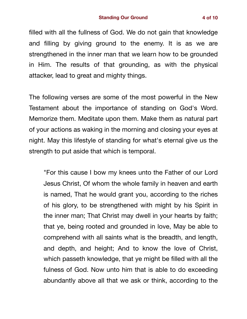filled with all the fullness of God. We do not gain that knowledge and filling by giving ground to the enemy. It is as we are strengthened in the inner man that we learn how to be grounded in Him. The results of that grounding, as with the physical attacker, lead to great and mighty things.

The following verses are some of the most powerful in the New Testament about the importance of standing on God's Word. Memorize them. Meditate upon them. Make them as natural part of your actions as waking in the morning and closing your eyes at night. May this lifestyle of standing for what's eternal give us the strength to put aside that which is temporal.

"For this cause I bow my knees unto the Father of our Lord Jesus Christ, Of whom the whole family in heaven and earth is named, That he would grant you, according to the riches of his glory, to be strengthened with might by his Spirit in the inner man; That Christ may dwell in your hearts by faith; that ye, being rooted and grounded in love, May be able to comprehend with all saints what is the breadth, and length, and depth, and height; And to know the love of Christ, which passeth knowledge, that ye might be filled with all the fulness of God. Now unto him that is able to do exceeding abundantly above all that we ask or think, according to the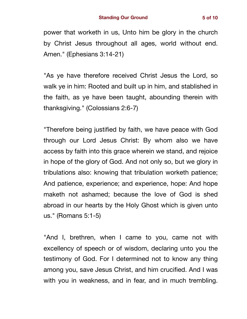power that worketh in us, Unto him be glory in the church by Christ Jesus throughout all ages, world without end. Amen." (Ephesians 3:14-21)

"As ye have therefore received Christ Jesus the Lord, so walk ye in him: Rooted and built up in him, and stablished in the faith, as ye have been taught, abounding therein with thanksgiving." (Colossians 2:6-7)

"Therefore being justified by faith, we have peace with God through our Lord Jesus Christ: By whom also we have access by faith into this grace wherein we stand, and rejoice in hope of the glory of God. And not only so, but we glory in tribulations also: knowing that tribulation worketh patience; And patience, experience; and experience, hope: And hope maketh not ashamed; because the love of God is shed abroad in our hearts by the Holy Ghost which is given unto us." (Romans 5:1-5)

"And I, brethren, when I came to you, came not with excellency of speech or of wisdom, declaring unto you the testimony of God. For I determined not to know any thing among you, save Jesus Christ, and him crucified. And I was with you in weakness, and in fear, and in much trembling.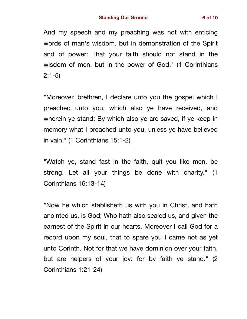And my speech and my preaching was not with enticing words of man's wisdom, but in demonstration of the Spirit and of power: That your faith should not stand in the wisdom of men, but in the power of God." (1 Corinthians 2:1-5)

"Moreover, brethren, I declare unto you the gospel which I preached unto you, which also ye have received, and wherein ye stand; By which also ye are saved, if ye keep in memory what I preached unto you, unless ye have believed in vain." (1 Corinthians 15:1-2)

"Watch ye, stand fast in the faith, quit you like men, be strong. Let all your things be done with charity." (1 Corinthians 16:13-14)

"Now he which stablisheth us with you in Christ, and hath anointed us, is God; Who hath also sealed us, and given the earnest of the Spirit in our hearts. Moreover I call God for a record upon my soul, that to spare you I came not as yet unto Corinth. Not for that we have dominion over your faith, but are helpers of your joy: for by faith ye stand." (2 Corinthians 1:21-24)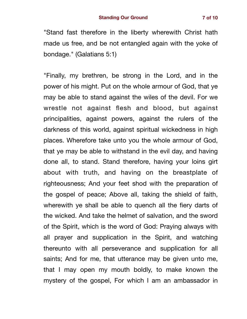"Stand fast therefore in the liberty wherewith Christ hath made us free, and be not entangled again with the yoke of bondage." (Galatians 5:1)

"Finally, my brethren, be strong in the Lord, and in the power of his might. Put on the whole armour of God, that ye may be able to stand against the wiles of the devil. For we wrestle not against flesh and blood, but against principalities, against powers, against the rulers of the darkness of this world, against spiritual wickedness in high places. Wherefore take unto you the whole armour of God, that ye may be able to withstand in the evil day, and having done all, to stand. Stand therefore, having your loins girt about with truth, and having on the breastplate of righteousness; And your feet shod with the preparation of the gospel of peace; Above all, taking the shield of faith, wherewith ye shall be able to quench all the fiery darts of the wicked. And take the helmet of salvation, and the sword of the Spirit, which is the word of God: Praying always with all prayer and supplication in the Spirit, and watching thereunto with all perseverance and supplication for all saints; And for me, that utterance may be given unto me, that I may open my mouth boldly, to make known the mystery of the gospel, For which I am an ambassador in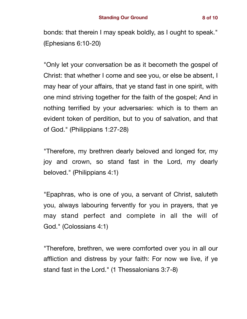bonds: that therein I may speak boldly, as I ought to speak." (Ephesians 6:10-20)

"Only let your conversation be as it becometh the gospel of Christ: that whether I come and see you, or else be absent, I may hear of your affairs, that ye stand fast in one spirit, with one mind striving together for the faith of the gospel; And in nothing terrified by your adversaries: which is to them an evident token of perdition, but to you of salvation, and that of God." (Philippians 1:27-28)

"Therefore, my brethren dearly beloved and longed for, my joy and crown, so stand fast in the Lord, my dearly beloved." (Philippians 4:1)

"Epaphras, who is one of you, a servant of Christ, saluteth you, always labouring fervently for you in prayers, that ye may stand perfect and complete in all the will of God." (Colossians 4:1)

"Therefore, brethren, we were comforted over you in all our affliction and distress by your faith: For now we live, if ye stand fast in the Lord." (1 Thessalonians 3:7-8)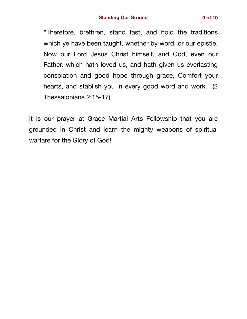"Therefore, brethren, stand fast, and hold the traditions which ye have been taught, whether by word, or our epistle. Now our Lord Jesus Christ himself, and God, even our Father, which hath loved us, and hath given us everlasting consolation and good hope through grace, Comfort your hearts, and stablish you in every good word and work." (2 Thessalonians 2:15-17)

It is our prayer at Grace Martial Arts Fellowship that you are grounded in Christ and learn the mighty weapons of spiritual warfare for the Glory of God!